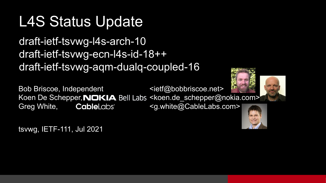#### L4S Status Update

draft-ietf-tsvwg-l4s-arch-10 draft-ietf-tsvwg-ecn-l4s-id-18++ draft-ietf-tsvwg-aqm-dualq-coupled-16

Bob Briscoe, Independent example the state of  $\leq$  ietf@bobbriscoe.net> Koen De Schepper, NOKIA Bell Labs <koen.de\_schepper@nokia.com> Greg White, **Cable**Labs<sup>\*</sup> <g.white@CableLabs.com>





tsvwg, IETF-111, Jul 2021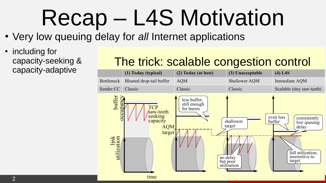### Recap – L4S Motivation

- Very low queuing delay for *all* Internet applications
- including for capacity-seeking & capacity-adaptive

#### The trick: scalable congestion control

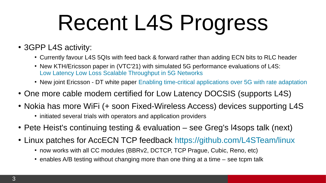## Recent L4S Progress

- 3GPP L4S activity:
	- Currently favour L4S 5QIs with feed back & forward rather than adding ECN bits to RLC header
	- New KTH/Ericsson paper in (VTC'21) with simulated 5G performance evaluations of L4S: [Low Latency Low Loss Scalable Throughput in 5G Networks](https://ieeexplore.ieee.org/abstract/document/9448764)
	- New joint Ericsson DT white paper [Enabling time-critical applications over 5G with rate adaptation](https://www.ericsson.com/en/reports-and-papers/white-papers/enabling-time-critical-applications-over-5g-with-rate-adaptation)
- One more cable modem certified for Low Latency DOCSIS (supports L4S)
- Nokia has more WiFi (+ soon Fixed-Wireless Access) devices supporting L4S
	- initiated several trials with operators and application providers
- Pete Heist's continuing testing & evaluation see Greg's I4sops talk (next)
- Linux patches for AccECN TCP feedback <https://github.com/L4STeam/linux>
	- now works with all CC modules (BBRv2, DCTCP, TCP Prague, Cubic, Reno, etc)
	- $\cdot$  enables A/B testing without changing more than one thing at a time  $-$  see tcpm talk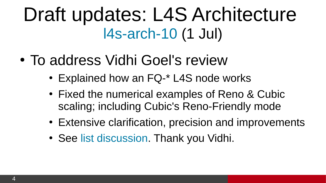### Draft updates: L4S Architecture [l4s-arch-10](https://datatracker.ietf.org/doc/html/draft-ietf-tsvwg-l4s-arch) (1 Jul)

- To address Vidhi Goel's review
	- Explained how an FQ-\* L4S node works
	- Fixed the numerical examples of Reno & Cubic scaling; including Cubic's Reno-Friendly mode
	- Extensive clarification, precision and improvements
	- See [list discussion](https://mailarchive.ietf.org/arch/msg/tsvwg/9f4afyyaNkK3kTWPOAXvXuK34Hc/). Thank you Vidhi.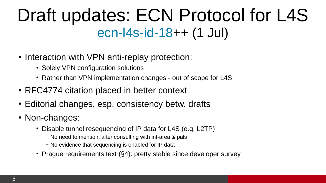### Draft updates: ECN Protocol for L4S [ecn-l4s-id-18](https://datatracker.ietf.org/doc/html/draft-ietf-tsvwg-ecn-l4s-id)++ (1 Jul)

- Interaction with VPN anti-replay protection:
	- Solely VPN configuration solutions
	- Rather than VPN implementation changes out of scope for L4S
- RFC4774 citation placed in better context
- Editorial changes, esp. consistency betw. drafts
- Non-changes:
	- Disable tunnel resequencing of IP data for L4S (e.g. L2TP)
		- No need to mention, after consulting with int-area & pals
		- No evidence that sequencing is enabled for IP data
	- Prague requirements text (§4): pretty stable since developer survey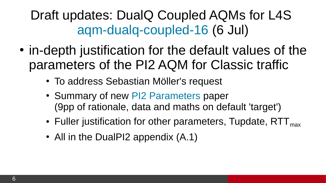Draft updates: DualQ Coupled AQMs for L4S [aqm-dualq-coupled-16](https://datatracker.ietf.org/doc/html/draft-ietf-tsvwg-aqm-dualq-coupled) (6 Jul)

- in-depth justification for the default values of the parameters of the PI2 AQM for Classic traffic
	- To address Sebastian Möller's request
	- Summary of new [PI2 Parameters](https://arxiv.org/abs/2107.01003) paper (9pp of rationale, data and maths on default 'target')
	- Fuller justification for other parameters, Tupdate,  $RTT<sub>max</sub>$
	- All in the DualPI2 appendix  $(A.1)$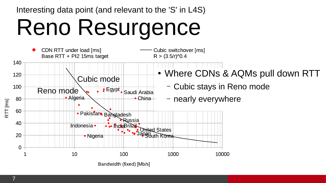Interesting data point (and relevant to the 'S' in L4S)

## Reno Resurgence

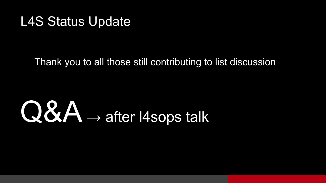#### L4S Status Update

#### Thank you to all those still contributing to list discussion

# Q&A → after l4sops talk